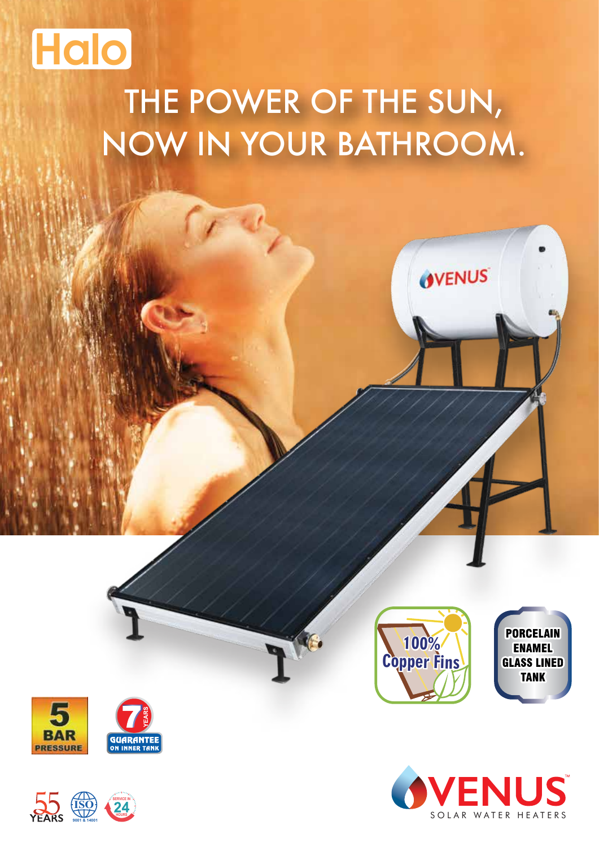

# THE POWER OF THE SUN, NOW IN YOUR BATHROOM.









OVENUS